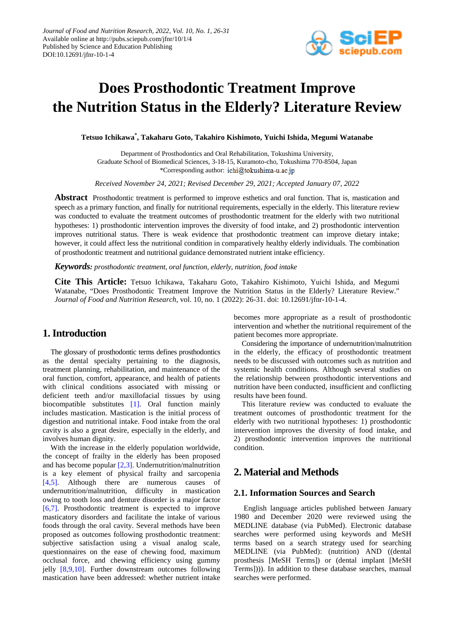

# **Does Prosthodontic Treatment Improve the Nutrition Status in the Elderly? Literature Review**

**Tetsuo Ichikawa\* , Takaharu Goto, Takahiro Kishimoto, Yuichi Ishida, Megumi Watanabe**

Department of Prosthodontics and Oral Rehabilitation, Tokushima University, Graduate School of Biomedical Sciences, 3-18-15, Kuramoto-cho, Tokushima 770-8504, Japan \*Corresponding author: ichi@tokushima-u.ac.jp

*Received November 24, 2021; Revised December 29, 2021; Accepted January 07, 2022*

**Abstract** Prosthodontic treatment is performed to improve esthetics and oral function. That is, mastication and speech as a primary function, and finally for nutritional requirements, especially in the elderly. This literature review was conducted to evaluate the treatment outcomes of prosthodontic treatment for the elderly with two nutritional hypotheses: 1) prosthodontic intervention improves the diversity of food intake, and 2) prosthodontic intervention improves nutritional status. There is weak evidence that prosthodontic treatment can improve dietary intake; however, it could affect less the nutritional condition in comparatively healthy elderly individuals. The combination of prosthodontic treatment and nutritional guidance demonstrated nutrient intake efficiency.

*Keywords: prosthodontic treatment, oral function, elderly, nutrition, food intake*

**Cite This Article:** Tetsuo Ichikawa, Takaharu Goto, Takahiro Kishimoto, Yuichi Ishida, and Megumi Watanabe, "Does Prosthodontic Treatment Improve the Nutrition Status in the Elderly? Literature Review." *Journal of Food and Nutrition Research*, vol. 10, no. 1 (2022): 26-31. doi: 10.12691/jfnr-10-1-4.

# **1. Introduction**

The glossary of prosthodontic terms defines prosthodontics as the dental specialty pertaining to the diagnosis, treatment planning, rehabilitation, and maintenance of the oral function, comfort, appearance, and health of patients with clinical conditions associated with missing or deficient teeth and/or maxillofacial tissues by using biocompatible substitutes [\[1\].](#page-4-0) Oral function mainly includes mastication. Mastication is the initial process of digestion and nutritional intake. Food intake from the oral cavity is also a great desire, especially in the elderly, and involves human dignity.

With the increase in the elderly population worldwide, the concept of frailty in the elderly has been proposed and has become popular [\[2,3\].](#page-4-1) Undernutrition/malnutrition is a key element of physical frailty and sarcopenia [\[4,5\].](#page-4-2) Although there are numerous causes of undernutrition/malnutrition, difficulty in mastication owing to tooth loss and denture disorder is a major factor [\[6,7\].](#page-4-3) Prosthodontic treatment is expected to improve masticatory disorders and facilitate the intake of various foods through the oral cavity. Several methods have been proposed as outcomes following prosthodontic treatment: subjective satisfaction using a visual analog scale, questionnaires on the ease of chewing food, maximum occlusal force, and chewing efficiency using gummy jelly [\[8,9,10\].](#page-4-4) Further downstream outcomes following mastication have been addressed: whether nutrient intake becomes more appropriate as a result of prosthodontic intervention and whether the nutritional requirement of the patient becomes more appropriate.

Considering the importance of undernutrition/malnutrition in the elderly, the efficacy of prosthodontic treatment needs to be discussed with outcomes such as nutrition and systemic health conditions. Although several studies on the relationship between prosthodontic interventions and nutrition have been conducted, insufficient and conflicting results have been found.

This literature review was conducted to evaluate the treatment outcomes of prosthodontic treatment for the elderly with two nutritional hypotheses: 1) prosthodontic intervention improves the diversity of food intake, and 2) prosthodontic intervention improves the nutritional condition.

# **2. Material and Methods**

#### **2.1. Information Sources and Search**

English language articles published between January 1980 and December 2020 were reviewed using the MEDLINE database (via PubMed). Electronic database searches were performed using keywords and MeSH terms based on a search strategy used for searching MEDLINE (via PubMed): (nutrition) AND ((dental prosthesis [MeSH Terms]) or (dental implant [MeSH Terms]))). In addition to these database searches, manual searches were performed.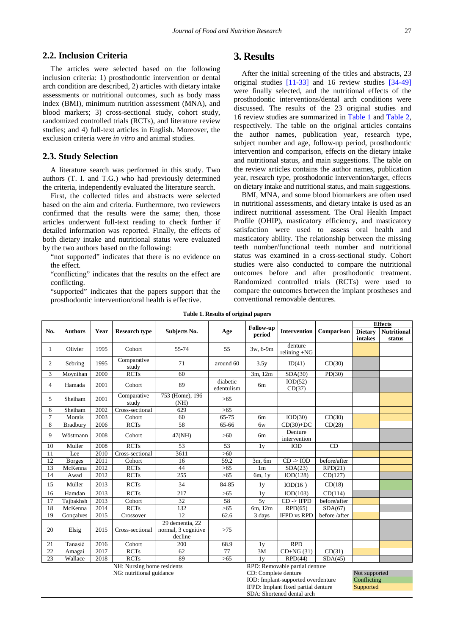#### **2.2. Inclusion Criteria**

The articles were selected based on the following inclusion criteria: 1) prosthodontic intervention or dental arch condition are described, 2) articles with dietary intake assessments or nutritional outcomes, such as body mass index (BMI), minimum nutrition assessment (MNA), and blood markers; 3) cross-sectional study, cohort study, randomized controlled trials (RCTs), and literature review studies; and 4) full-text articles in English. Moreover, the exclusion criteria were *in vitro* and animal studies.

#### **2.3. Study Selection**

A literature search was performed in this study. Two authors (T. I. and T.G.) who had previously determined the criteria, independently evaluated the literature search.

First, the collected titles and abstracts were selected based on the aim and criteria. Furthermore, two reviewers confirmed that the results were the same; then, those articles underwent full-text reading to check further if detailed information was reported. Finally, the effects of both dietary intake and nutritional status were evaluated by the two authors based on the following:

"not supported" indicates that there is no evidence on the effect.

"conflicting" indicates that the results on the effect are conflicting.

"supported" indicates that the papers support that the prosthodontic intervention/oral health is effective.

## **3. Results**

After the initial screening of the titles and abstracts, 23 original studies [\[11-33\]](#page-4-5) and 16 review studies [\[34-49\]](#page-5-0) were finally selected, and the nutritional effects of the prosthodontic interventions/dental arch conditions were discussed. The results of the 23 original studies and 16 review studies are summarized in [Table 1](#page-1-0) and [Table 2,](#page-2-0) respectively. The table on the original articles contains the author names, publication year, research type, subject number and age, follow-up period, prosthodontic intervention and comparison, effects on the dietary intake and nutritional status, and main suggestions. The table on the review articles contains the author names, publication year, research type, prosthodontic intervention/target, effects on dietary intake and nutritional status, and main suggestions.

BMI, MNA, and some blood biomarkers are often used in nutritional assessments, and dietary intake is used as an indirect nutritional assessment. The Oral Health Impact Profile (OHIP), masticatory efficiency, and masticatory satisfaction were used to assess oral health and masticatory ability. The relationship between the missing teeth number/functional teeth number and nutritional status was examined in a cross-sectional study. Cohort studies were also conducted to compare the nutritional outcomes before and after prosthodontic treatment. Randomized controlled trials (RCTs) were used to compare the outcomes between the implant prostheses and conventional removable dentures.

**IFPD:** Implant fixed partial denture **Supported** 

SDA: Shortened dental arch

<span id="page-1-0"></span>

| raoic 1. Results of original papers                          |                |      |                          |                                                   |                        |                      |                                    |               |                |                    |  |
|--------------------------------------------------------------|----------------|------|--------------------------|---------------------------------------------------|------------------------|----------------------|------------------------------------|---------------|----------------|--------------------|--|
|                                                              |                | Year | <b>Research type</b>     | Subjects No.                                      | Age                    | Follow-up<br>period  | <b>Intervention</b>                | Comparison    | <b>Effects</b> |                    |  |
| No.                                                          | <b>Authors</b> |      |                          |                                                   |                        |                      |                                    |               | <b>Dietary</b> | <b>Nutritional</b> |  |
|                                                              |                |      |                          |                                                   |                        |                      |                                    |               | intakes        | status             |  |
| 1                                                            | Olivier        | 1995 | Cohort                   | 55-74                                             | 55                     | 3w, 6-9m             | denture<br>relining $+NG$          |               |                |                    |  |
| 2                                                            | Sebring        | 1995 | Comparative<br>study     | 71                                                | around 60              | 3.5y                 | ID(41)                             | CD(30)        |                |                    |  |
| 3                                                            | Moynihan       | 2000 | <b>RCTs</b>              | 60                                                |                        | 3m, 12m              | SDA(30)                            | PD(30)        |                |                    |  |
| $\overline{4}$                                               | Hamada         | 2001 | Cohort                   | 89                                                | diabetic<br>edentulism | 6m                   | IOD(52)<br>CD(37)                  |               |                |                    |  |
| 5                                                            | Sheiham        | 2001 | Comparative<br>study     | 753 (Home), 196<br>(NH)                           | >65                    |                      |                                    |               |                |                    |  |
| 6                                                            | Sheiham        | 2002 | Cross-sectional          | 629                                               | $>65$                  |                      |                                    |               |                |                    |  |
| $\tau$                                                       | Morais         | 2003 | Cohort                   | 60                                                | 65-75                  | 6m                   | IOD(30)                            | CD(30)        |                |                    |  |
| 8                                                            | Bradbury       | 2006 | <b>RCTs</b>              | 58                                                | 65-66                  | 6w                   | $CD(30)+DC$                        | CD(28)        |                |                    |  |
| 9                                                            | Wöstmann       | 2008 | Cohort                   | 47(NH)                                            | $>60$                  | 6 <sub>m</sub>       | Denture<br>intervention            |               |                |                    |  |
| 10                                                           | Muller         | 2008 | <b>RCTs</b>              | 53                                                | 53                     | 1 <sub>y</sub>       | <b>IOD</b>                         | CD            |                |                    |  |
| 11                                                           | Lee            | 2010 | Cross-sectional          | 3611                                              | $>60$                  |                      |                                    |               |                |                    |  |
| 12                                                           | <b>Borges</b>  | 2011 | Cohort                   | 16                                                | 59.2                   | 3m, 6m               | $CD \rightarrow IOD$               | before/after  |                |                    |  |
| 13                                                           | McKenna        | 2012 | <b>RCTs</b>              | 44                                                | $>65$                  | 1 <sub>m</sub>       | SDA(23)                            | RPD(21)       |                |                    |  |
| 14                                                           | Awad           | 2012 | <b>RCTs</b>              | 255                                               | $>65$                  | $6m$ , $1y$          | IOD(128)                           | CD(127)       |                |                    |  |
| 15                                                           | Müller         | 2013 | <b>RCTs</b>              | 34                                                | 84-85                  | 1y                   | IOD(16)                            | CD(18)        |                |                    |  |
| 16                                                           | Hamdan         | 2013 | <b>RCTs</b>              | 217                                               | $>65$                  | 1 <sub>V</sub>       | IOD(103)                           | CD(114)       |                |                    |  |
| 17                                                           | Tajbakhsh      | 2013 | Cohort                   | 32                                                | 58                     | 5y                   | $CD \rightarrow IFPD$              | before/after  |                |                    |  |
| 18                                                           | McKenna        | 2014 | <b>RCTs</b>              | 132                                               | $>65$                  | 6m, 12m              | RPD(65)                            | SDA(67)       |                |                    |  |
| 19                                                           | Goncalves      | 2015 | Crossover                | 12                                                | 62.6                   | 3 days               | <b>IFPD vs RPD</b>                 | before /after |                |                    |  |
| 20                                                           | Elsig          | 2015 | Cross-sectional          | 29 dementia, 22<br>normal, 3 cognitive<br>decline | >75                    |                      |                                    |               |                |                    |  |
| 21                                                           | Tanasić        | 2016 | Cohort                   | 200                                               | 68.9                   | 1 <sub>y</sub>       | <b>RPD</b>                         |               |                |                    |  |
| 22                                                           | Amagai         | 2017 | <b>RCTs</b>              | 62                                                | 77                     | 3M                   | $CD+NG(31)$                        | CD(31)        |                |                    |  |
| 23                                                           | Wallace        | 2018 | <b>RCTs</b>              | 89                                                | $>65$                  | 1v                   | RPD(44)                            | SDA(45)       |                |                    |  |
| NH: Nursing home residents<br>RPD: Removable partial denture |                |      |                          |                                                   |                        |                      |                                    |               |                |                    |  |
|                                                              |                |      | NG: nutritional guidance |                                                   |                        | CD: Complete denture |                                    |               | Not supported  |                    |  |
|                                                              |                |      |                          |                                                   |                        |                      | IOD: Implant-supported overdenture |               |                | Conflicting        |  |

**Table 1. Results of original papers**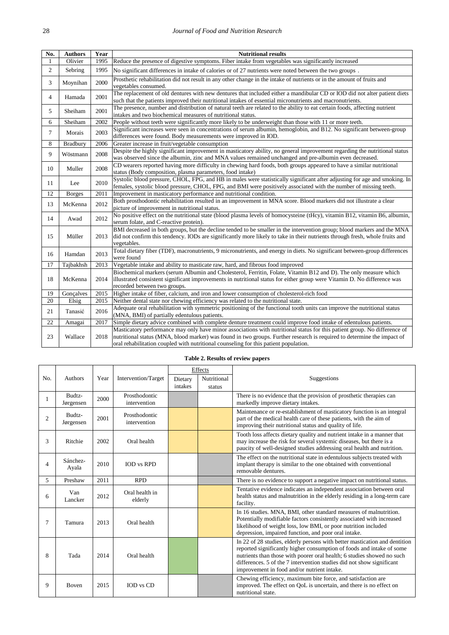| No.            | <b>Authors</b>  | Year | <b>Nutritional results</b>                                                                                                                                                                                                                                                                                                                   |  |  |  |
|----------------|-----------------|------|----------------------------------------------------------------------------------------------------------------------------------------------------------------------------------------------------------------------------------------------------------------------------------------------------------------------------------------------|--|--|--|
| 1              | Olivier         | 1995 | Reduce the presence of digestive symptoms. Fiber intake from vegetables was significantly increased                                                                                                                                                                                                                                          |  |  |  |
| $\overline{c}$ | Sebring         | 1995 | No significant differences in intake of calories or of 27 nutrients were noted between the two groups.                                                                                                                                                                                                                                       |  |  |  |
| 3              | Moynihan        | 2000 | Prosthetic rehabilitation did not result in any other change in the intake of nutrients or in the amount of fruits and<br>vegetables consumed.                                                                                                                                                                                               |  |  |  |
| $\overline{4}$ | Hamada          | 2001 | The replacement of old dentures with new dentures that included either a mandibular CD or IOD did not alter patient diets<br>such that the patients improved their nutritional intakes of essential micronutrients and macronutrients.                                                                                                       |  |  |  |
| 5              | Sheiham         | 2001 | The presence, number and distribution of natural teeth are related to the ability to eat certain foods, affecting nutrient<br>intakes and two biochemical measures of nutritional status.                                                                                                                                                    |  |  |  |
| 6              | Sheiham         | 2002 | People without teeth were significantly more likely to be underweight than those with 11 or more teeth.                                                                                                                                                                                                                                      |  |  |  |
| $\tau$         | Morais          | 2003 | Significant increases were seen in concentrations of serum albumin, hemoglobin, and B12. No significant between-group<br>differences were found. Body measurements were improved in IOD.                                                                                                                                                     |  |  |  |
| 8              | Bradbury        | 2006 | Greater increase in fruit/vegetable consumption                                                                                                                                                                                                                                                                                              |  |  |  |
| 9              | Wöstmann        | 2008 | Despite the highly significant improvement in masticatory ability, no general improvement regarding the nutritional status<br>was observed since the albumin, zinc and MNA values remained unchanged and pre-albumin even decreased.                                                                                                         |  |  |  |
| 10             | Muller          | 2008 | CD wearers reported having more difficulty in chewing hard foods, both groups appeared to have a similar nutritional<br>status (Body composition, plasma parameters, food intake)                                                                                                                                                            |  |  |  |
| 11             | Lee             | 2010 | Systolic blood pressure, CHOL, FPG, and HB in males were statistically significant after adjusting for age and smoking. In<br>females, systolic blood pressure, CHOL, FPG, and BMI were positively associated with the number of missing teeth.                                                                                              |  |  |  |
| 12             | <b>B</b> orges  | 2011 | Improvement in masticatory performance and nutritional condition.                                                                                                                                                                                                                                                                            |  |  |  |
| 13             | McKenna         | 2012 | Both prosthodontic rehabilitation resulted in an improvement in MNA score. Blood markers did not illustrate a clear<br>picture of improvement in nutritional status.                                                                                                                                                                         |  |  |  |
| 14             | Awad            | 2012 | No positive effect on the nutritional state (blood plasma levels of homocysteine (tHcy), vitamin B12, vitamin B6, albumin,<br>serum folate, and C-reactive protein).                                                                                                                                                                         |  |  |  |
| 15             | Müller          | 2013 | BMI decreased in both groups, but the decline tended to be smaller in the intervention group; blood markers and the MNA<br>did not confirm this tendency. IODs are significantly more likely to take in their nutrients through fresh, whole fruits and<br>vegetables.                                                                       |  |  |  |
| 16             | Hamdan          | 2013 | Total dietary fiber (TDF), macronutrients, 9 micronutrients, and energy in diets. No significant between-group differences<br>were found                                                                                                                                                                                                     |  |  |  |
| 17             | Tajbakhsh       | 2013 | Vegetable intake and ability to masticate raw, hard, and fibrous food improved                                                                                                                                                                                                                                                               |  |  |  |
| 18             | McKenna         | 2014 | Biochemical markers (serum Albumin and Cholesterol, Ferritin, Folate, Vitamin B12 and D). The only measure which<br>illustrated consistent significant improvements in nutritional status for either group were Vitamin D. No difference was<br>recorded between two groups.                                                                 |  |  |  |
| 19             | Gonçalves       | 2015 | Higher intake of fiber, calcium, and iron and lower consumption of cholesterol-rich food                                                                                                                                                                                                                                                     |  |  |  |
| 20             | Elsig           | 2015 | Neither dental state nor chewing efficiency was related to the nutritional state.                                                                                                                                                                                                                                                            |  |  |  |
| 21             | 2016<br>Tanasić |      | Adequate oral rehabilitation with symmetric positioning of the functional tooth units can improve the nutritional status<br>(MNA, BMI) of partially edentulous patients.                                                                                                                                                                     |  |  |  |
| 22             | Amagai          | 2017 | Simple dietary advice combined with complete denture treatment could improve food intake of edentulous patients.                                                                                                                                                                                                                             |  |  |  |
| 23             | Wallace         | 2018 | Masticatory performance may only have minor associations with nutritional status for this patient group. No difference of<br>nutritional status (MNA, blood marker) was found in two groups. Further research is required to determine the impact of<br>oral rehabilitation coupled with nutritional counseling for this patient population. |  |  |  |

#### **Table 2. Results of review papers**

<span id="page-2-0"></span>

|                |                     |      |                               | Effects |             |                                                                                                                                                                                                                                                                                                                                                       |  |
|----------------|---------------------|------|-------------------------------|---------|-------------|-------------------------------------------------------------------------------------------------------------------------------------------------------------------------------------------------------------------------------------------------------------------------------------------------------------------------------------------------------|--|
| No.            | <b>Authors</b>      | Year | Intervention/Target           | Dietary | Nutritional | Suggestions                                                                                                                                                                                                                                                                                                                                           |  |
|                |                     |      |                               | intakes | status      |                                                                                                                                                                                                                                                                                                                                                       |  |
| 1              | Budtz-<br>Jørgensen | 2000 | Prosthodontic<br>intervention |         |             | There is no evidence that the provision of prosthetic therapies can<br>markedly improve dietary intakes.                                                                                                                                                                                                                                              |  |
| $\overline{2}$ | Budtz-<br>Jørgensen | 2001 | Prosthodontic<br>intervention |         |             | Maintenance or re-establishment of masticatory function is an integral<br>part of the medical health care of these patients, with the aim of<br>improving their nutritional status and quality of life.                                                                                                                                               |  |
| 3              | Ritchie             | 2002 | Oral health                   |         |             | Tooth loss affects dietary quality and nutrient intake in a manner that<br>may increase the risk for several systemic diseases, but there is a<br>paucity of well-designed studies addressing oral health and nutrition.                                                                                                                              |  |
| 4              | Sánchez-<br>Ayala   | 2010 | <b>IOD</b> vs RPD             |         |             | The effect on the nutritional state in edentulous subjects treated with<br>implant therapy is similar to the one obtained with conventional<br>removable dentures.                                                                                                                                                                                    |  |
| 5              | Preshaw             | 2011 | <b>RPD</b>                    |         |             | There is no evidence to support a negative impact on nutritional status.                                                                                                                                                                                                                                                                              |  |
| 6              | Van<br>Lancker      | 2012 | Oral health in<br>elderly     |         |             | Tentative evidence indicates an independent association between oral<br>health status and malnutrition in the elderly residing in a long-term care<br>facility.                                                                                                                                                                                       |  |
| 7              | Tamura              | 2013 | Oral health                   |         |             | In 16 studies. MNA, BMI, other standard measures of malnutrition.<br>Potentially modifiable factors consistently associated with increased<br>likelihood of weight loss, low BMI, or poor nutrition included<br>depression, impaired function, and poor oral intake.                                                                                  |  |
| 8              | Tada                | 2014 | Oral health                   |         |             | In 22 of 28 studies, elderly persons with better mastication and dentition<br>reported significantly higher consumption of foods and intake of some<br>nutrients than those with poorer oral health; 6 studies showed no such<br>differences. 5 of the 7 intervention studies did not show significant<br>improvement in food and/or nutrient intake. |  |
| 9              | <b>Boven</b>        | 2015 | <b>IOD</b> vs CD              |         |             | Chewing efficiency, maximum bite force, and satisfaction are<br>improved. The effect on QoL is uncertain, and there is no effect on<br>nutritional state.                                                                                                                                                                                             |  |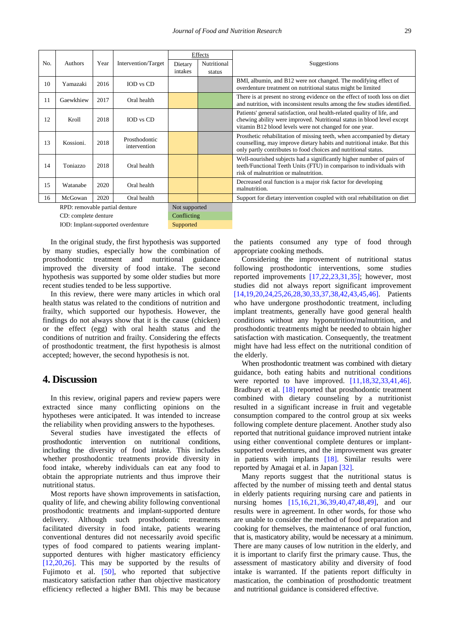|     |                                |      |                               | Effects |               |                                                                                                                                                                                                                        |
|-----|--------------------------------|------|-------------------------------|---------|---------------|------------------------------------------------------------------------------------------------------------------------------------------------------------------------------------------------------------------------|
| No. | Authors                        | Year | Intervention/Target           | Dietary | Nutritional   | Suggestions                                                                                                                                                                                                            |
|     |                                |      |                               | intakes | status        |                                                                                                                                                                                                                        |
| 10  | Yamazaki                       | 2016 | IOD vs CD                     |         |               | BMI, albumin, and B12 were not changed. The modifying effect of<br>overdenture treatment on nutritional status might be limited                                                                                        |
| 11  | Gaewkhiew                      | 2017 | Oral health                   |         |               | There is at present no strong evidence on the effect of tooth loss on diet<br>and nutrition, with inconsistent results among the few studies identified.                                                               |
| 12  | Kroll                          | 2018 | IOD vs CD                     |         |               | Patients' general satisfaction, oral health-related quality of life, and<br>chewing ability were improved. Nutritional status in blood level except<br>vitamin B12 blood levels were not changed for one year.         |
| 13  | Kossioni.                      | 2018 | Prosthodontic<br>intervention |         |               | Prosthetic rehabilitation of missing teeth, when accompanied by dietary<br>counselling, may improve dietary habits and nutritional intake. But this<br>only partly contributes to food choices and nutritional status. |
| 14  | Toniazzo                       | 2018 | Oral health                   |         |               | Well-nourished subjects had a significantly higher number of pairs of<br>teeth/Functional Teeth Units (FTU) in comparison to individuals with<br>risk of malnutrition or malnutrition.                                 |
| 15  | Watanabe                       | 2020 | Oral health                   |         |               | Decreased oral function is a major risk factor for developing<br>malnutrition.                                                                                                                                         |
| 16  | McGowan                        | 2020 | Oral health                   |         |               | Support for dietary intervention coupled with oral rehabilitation on diet                                                                                                                                              |
|     | RPD: removable partial denture |      |                               |         | Not supported |                                                                                                                                                                                                                        |
|     | CD: complete denture           |      |                               |         | Conflicting   |                                                                                                                                                                                                                        |

IOD: Implant-supported overdenture Supported

In the original study, the first hypothesis was supported by many studies, especially how the combination of prosthodontic treatment and nutritional guidance improved the diversity of food intake. The second hypothesis was supported by some older studies but more recent studies tended to be less supportive.

In this review, there were many articles in which oral health status was related to the conditions of nutrition and frailty, which supported our hypothesis. However, the findings do not always show that it is the cause (chicken) or the effect (egg) with oral health status and the conditions of nutrition and frailty. Considering the effects of prosthodontic treatment, the first hypothesis is almost accepted; however, the second hypothesis is not.

## **4. Discussion**

In this review, original papers and review papers were extracted since many conflicting opinions on the hypotheses were anticipated. It was intended to increase the reliability when providing answers to the hypotheses.

Several studies have investigated the effects of prosthodontic intervention on nutritional conditions, including the diversity of food intake. This includes whether prosthodontic treatments provide diversity in food intake, whereby individuals can eat any food to obtain the appropriate nutrients and thus improve their nutritional status.

Most reports have shown improvements in satisfaction, quality of life, and chewing ability following conventional prosthodontic treatments and implant-supported denture delivery. Although such prosthodontic treatments facilitated diversity in food intake, patients wearing conventional dentures did not necessarily avoid specific types of food compared to patients wearing implantsupported dentures with higher masticatory efficiency [\[12,20,26\].](#page-4-6) This may be supported by the results of Fujimoto et al. [\[50\],](#page-5-1) who reported that subjective masticatory satisfaction rather than objective masticatory efficiency reflected a higher BMI. This may be because

the patients consumed any type of food through appropriate cooking methods.

Considering the improvement of nutritional status following prosthodontic interventions, some studies reported improvements [\[17,22,23,31,35\];](#page-4-7) however, most studies did not always report significant improvement [\[14,19,20,24,25,26,28,30,33,37,38,42,43,45,46\].](#page-4-8) Patients who have undergone prosthodontic treatment, including implant treatments, generally have good general health conditions without any hyponutrition/malnutrition, and prosthodontic treatments might be needed to obtain higher satisfaction with mastication. Consequently, the treatment might have had less effect on the nutritional condition of the elderly.

When prosthodontic treatment was combined with dietary guidance, both eating habits and nutritional conditions were reported to have improved. [\[11,18,32,33,41,46\].](#page-4-5) Bradbury et al. [\[18\]](#page-4-9) reported that prosthodontic treatment combined with dietary counseling by a nutritionist resulted in a significant increase in fruit and vegetable consumption compared to the control group at six weeks following complete denture placement. Another study also reported that nutritional guidance improved nutrient intake using either conventional complete dentures or implantsupported overdentures, and the improvement was greater in patients with implants [\[18\].](#page-4-9) Similar results were reported by Amagai et al. in Japan [\[32\].](#page-4-10)

Many reports suggest that the nutritional status is affected by the number of missing teeth and dental status in elderly patients requiring nursing care and patients in nursing homes [\[15,16,21,36,39,40,47,48,49\],](#page-4-11) and our results were in agreement. In other words, for those who are unable to consider the method of food preparation and cooking for themselves, the maintenance of oral function, that is, masticatory ability, would be necessary at a minimum. There are many causes of low nutrition in the elderly, and it is important to clarify first the primary cause. Thus, the assessment of masticatory ability and diversity of food intake is warranted. If the patients report difficulty in mastication, the combination of prosthodontic treatment and nutritional guidance is considered effective.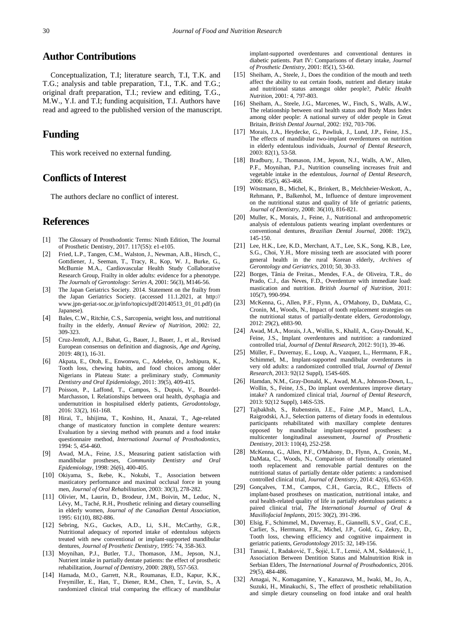## **Author Contributions**

Conceptualization, T.I; literature search, T.I, T.K. and T.G.; analysis and table preparation, T.I., T.K. and T.G.; original draft preparation, T.I.; review and editing, T.G., M.W., Y.I. and T.I; funding acquisition, T.I. Authors have read and agreed to the published version of the manuscript.

## **Funding**

This work received no external funding.

## **Conflicts of Interest**

The authors declare no conflict of interest.

### **References**

- <span id="page-4-0"></span>[1] The Glossary of Prosthodontic Terms: Ninth Edition, The Journal of Prosthetic Dentistry, 2017. 117(5S): e1-e105.
- <span id="page-4-1"></span>[2] Fried, L.P., Tangen, C.M., Walston, J., Newman, A.B., Hirsch, C., Gottdiener, J., Seeman, T., Tracy, R., Kop, W. J., Burke, G., McBurnie M.A., Cardiovascular Health Study Collaborative Research Group, Frailty in older adults: evidence for a phenotype. *The Journals of Gerontology: Series A*, 2001: 56(3), M146-56.
- [3] The Japan Geriatrics Society. 2014. Statement on the frailty from the Japan Geriatrics Society. (accessed 11.1.2021, at http:// www.jpn-geriat-soc.or.jp/info/topics/pdf/20140513\_01\_01.pdf) (in Japanese).
- <span id="page-4-2"></span>[4] Bales, C.W., Ritchie, C.S., Sarcopenia, weight loss, and nutritional frailty in the elderly, *Annual Review of Nutrition*, 2002: 22, 309-323.
- [5] Cruz-Jentoft, A.J., Bahat, G., Bauer, J., Bauer, J., et al., Revised European consensus on definition and diagnosis, *Age and Ageing*, 2019: 48(1), 16-31.
- <span id="page-4-3"></span>[6] Akpata, E., Otoh, E., Enwonwu, C., Adeleke, O., Joshipura, K., Tooth loss, chewing habits, and food choices among older Nigerians in Plateau State: a preliminary study, *Community Dentistry and Oral Epidemiology*, 2011: 39(5), 409-415.
- [7] Poisson, P., Laffond, T., Campos, S., Dupuis, V., Bourdel-Marchasson, I. Relationships between oral health, dysphagia and undernutrition in hospitalised elderly patients, *Gerodontology*, 2016: 33(2), 161-168.
- <span id="page-4-4"></span>[8] Hirai, T., Ishijima, T., Koshino, H., Anazai, T., Age-related change of masticatory function in complete denture wearers: Evaluation by a sieving method with peanuts and a food intake questionnaire method, *International Journal of Prosthodontics*, 1994: 5, 454-460.
- [9] Awad, M.A., Feine, J.S., Measuring patient satisfaction with mandibular prostheses, *Community Dentistry and Oral Epidemiology*, 1998: 26(6), 400-405.
- [10] Okiyama, S., Ikebe, K., Nokubi, T., Association between masticatory performance and maximal occlusal force in young men, *Journal of Oral Rehabilitation*, 2003: 30(3), 278-282.
- <span id="page-4-5"></span>[11] Olivier, M., Laurin, D., Brodeur, J.M., Boivin, M., Leduc, N., Lévy, M., Taché, R.H., Prosthetic relining and dietary counselling in elderly women, *Journal of the Canadian Dental Association*, 1995: 61(10), 882-886.
- <span id="page-4-6"></span>[12] Sebring, N.G., Guckes, A.D., Li, S.H., McCarthy, G.R., Nutritional adequacy of reported intake of edentulous subjects treated with new conventional or implant-supported mandibular dentures*, Journal of Prosthetic Dentistry*, 1995: 74, 358-363.
- [13] Moynihan, P.J., Butler, T.J., Thomason, J.M., Jepson, N.J., Nutrient intake in partially dentate patients: the effect of prosthetic rehabilitation, *Journal of Dentistry*, 2000: 28(8), 557-563.
- <span id="page-4-8"></span>[14] Hamada, M.O., Garrett, N.R., Roumanas, E.D., Kapur, K.K., Freymiller, E., Han, T., Diener, R.M., Chen, T., Levin, S., A randomized clinical trial comparing the efficacy of mandibular

implant-supported overdentures and conventional dentures in diabetic patients. Part IV: Comparisons of dietary intake, *Journal of Prosthetic Dentistry*, 2001: 85(1), 53-60.

- <span id="page-4-11"></span>[15] Sheiham, A., Steele, J., Does the condition of the mouth and teeth affect the ability to eat certain foods, nutrient and dietary intake and nutritional status amongst older people?, *Public Health Nutrition*, 2001: 4, 797-803.
- [16] Sheiham, A., Steele, J.G., Marcenes, W., Finch, S., Walls, A.W., The relationship between oral health status and Body Mass Index among older people: A national survey of older people in Great Britain, *British Dental Journal*, 2002: 192, 703-706.
- <span id="page-4-7"></span>[17] Morais, J.A., Heydecke, G., Pawliuk, J., Lund, J.P., Feine, J.S., The effects of mandibular two-implant overdentures on nutrition in elderly edentulous individuals, *Journal of Dental Research*, 2003: 82(1), 53-58.
- <span id="page-4-9"></span>[18] Bradbury, J., Thomason, J.M., Jepson, N.J., Walls, A.W., Allen, P.F., Moynihan, P.J., Nutrition counseling increases fruit and vegetable intake in the edentulous, *Journal of Dental Research*, 2006: 85(5), 463-468.
- [19] Wöstmann, B., Michel, K., Brinkert, B., Melchheier-Weskott, A., Rehmann, P., Balkenhol, M., Influence of denture improvement on the nutritional status and quality of life of geriatric patients, *Journal of Dentistry*, 2008: 36(10), 816-821.
- [20] Muller, K., Morais, J., Feine, J., Nutritional and anthropometric analysis of edentulous patients wearing implant overdentures or conventional dentures, *Brazilian Dental Journal,* 2008: 19(2), 145-150.
- [21] Lee, H.K., Lee, K.D., Merchant, A.T., Lee, S.K., Song, K.B., Lee, S.G., Choi, Y.H., More missing teeth are associated with poorer general health in the rural Korean elderly, *Archives of Gerontology and Geriatrics*, 2010; 50, 30-33.
- [22] Borges, Tânia de Freitas., Mendes, F.A., de Oliveira, T.R., do Prado, C.J., das Neves, F.D., Overdenture with immediate load: mastication and nutrition. *British Journal of Nutrition*, 2011: 105(7), 990-994.
- [23] McKenna, G., Allen, P.F., Flynn, A., O'Mahony, D., DaMata, C., Cronin, M., Woods, N., Impact of tooth replacement strategies on the nutritional status of partially-dentate elders, *Gerodontology*, 2012: 29(2), e883-90.
- [24] Awad, M.A., Morais, J.A., Wollin, S., Khalil, A., Gray-Donald, K., Feine, J.S., Implant overdentures and nutrition: a randomized controlled trial, *Journal of Dental Research*, 2012: 91(1), 39-46.
- [25] Müller, F., Duvernay, E., Loup, A., Vazquez, L., Herrmann, F.R., Schimmel, M., Implant-supported mandibular overdentures in very old adults: a randomized controlled trial, *Journal of Dental Research*, 2013: 92(12 Suppl), 154S-60S.
- [26] Hamdan, N.M., Gray-Donald, K., Awad, M.A., Johnson-Down, L., Wollin, S., Feine, J.S., Do implant overdentures improve dietary intake? A randomized clinical trial, *Journal of Dental Research*, 2013: 92(12 Suppl), 146S-53S.
- [27] Tajbakhsh, S., Rubenstein, J.E., Faine ,M.P., Mancl, L.A., Raigrodski, A.J., Selection patterns of dietary foods in edentulous participants rehabilitated with maxillary complete dentures opposed by mandibular implant-supported prostheses: a multicenter longitudinal assessment, *Journal of Prosthetic Dentistry*, 2013: 110(4), 252-258.
- [28] McKenna, G., Allen, P.F., O'Mahony, D., Flynn, A., Cronin, M., DaMata, C., Woods, N., Comparison of functionally orientated tooth replacement and removable partial dentures on the nutritional status of partially dentate older patients: a randomised controlled clinical trial, *Journal of Dentistry*, 2014: 42(6), 653-659.
- [29] Goncalves, T.M., Campos, C.H., Garcia, R.C., Effects of implant-based prostheses on mastication, nutritional intake, and oral health-related quality of life in partially edentulous patients: a paired clinical trial, *The International Journal of Oral & Maxillofacial Implants*, 2015: 30(2), 391-396.
- [30] Elsig, F., Schimmel, M., Duvernay, E., Giannelli, S.V., Graf, C.E., Carlier, S., Herrmann, F.R., Michel, J.P., Gold, G., Zekry, D., Tooth loss, chewing efficiency and cognitive impairment in geriatric patients, *Gerodontology* 2015: 32, 149-156.
- [31] Tanasić, I., Radaković, T., Šojić, L.T., Lemić, A.M., Soldatović, I., Association Between Dentition Status and Malnutrition Risk in Serbian Elders, The *International Journal of Prosthodontics*, 2016. 29(5), 484-486.
- <span id="page-4-10"></span>[32] Amagai, N., Komagamine, Y., Kanazawa, M., Iwaki, M., Jo, A., Suzuki, H., Minakuchi, S., The effect of prosthetic rehabilitation and simple dietary counseling on food intake and oral health